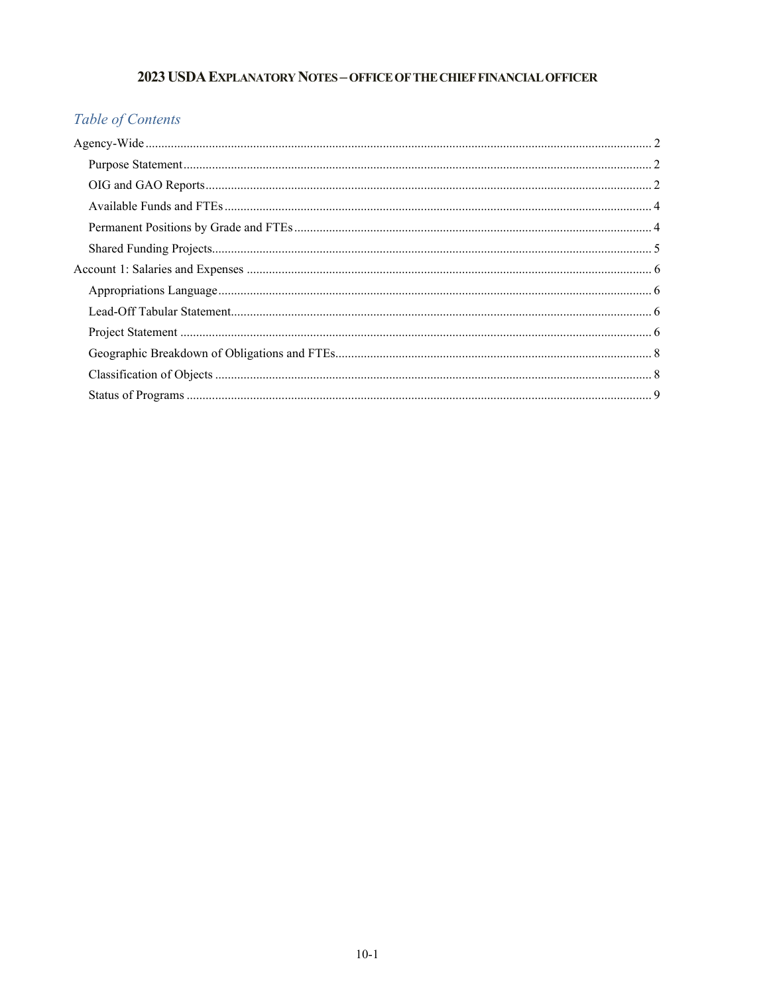# 2023 USDA EXPLANATORY NOTES - OFFICE OF THE CHIEF FINANCIAL OFFICER

# Table of Contents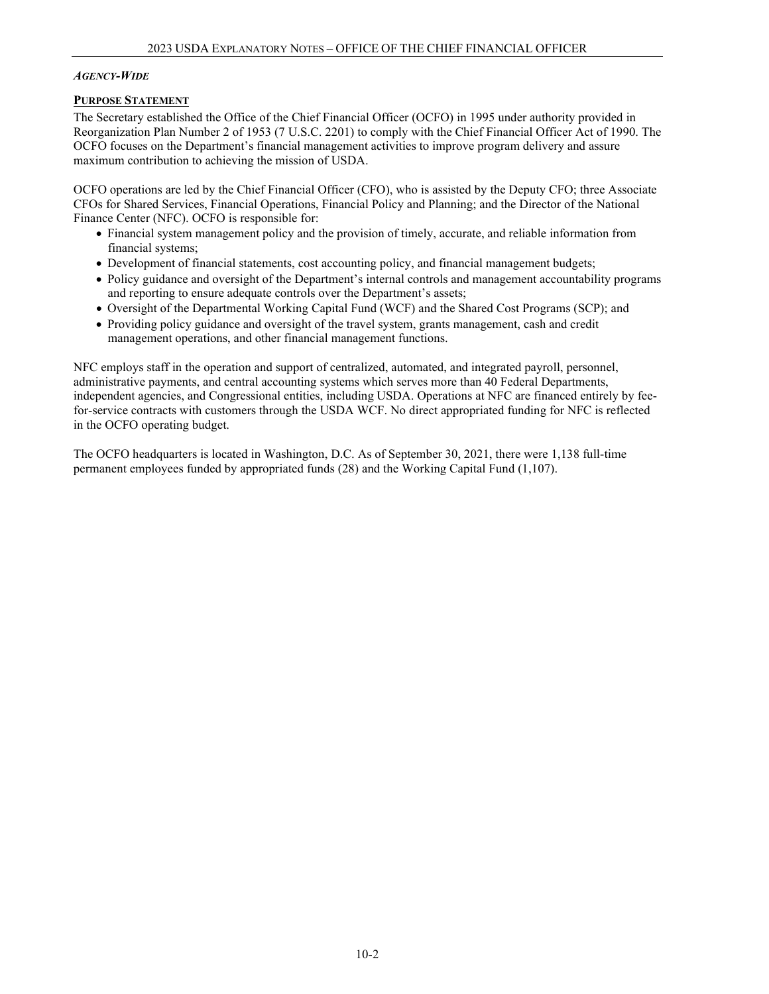### <span id="page-1-0"></span>*AGENCY-WIDE*

# <span id="page-1-1"></span>**PURPOSE STATEMENT**

The Secretary established the Office of the Chief Financial Officer (OCFO) in 1995 under authority provided in Reorganization Plan Number 2 of 1953 (7 U.S.C. 2201) to comply with the Chief Financial Officer Act of 1990. The OCFO focuses on the Department's financial management activities to improve program delivery and assure maximum contribution to achieving the mission of USDA.

OCFO operations are led by the Chief Financial Officer (CFO), who is assisted by the Deputy CFO; three Associate CFOs for Shared Services, Financial Operations, Financial Policy and Planning; and the Director of the National Finance Center (NFC). OCFO is responsible for:

- Financial system management policy and the provision of timely, accurate, and reliable information from financial systems;
- Development of financial statements, cost accounting policy, and financial management budgets;
- Policy guidance and oversight of the Department's internal controls and management accountability programs and reporting to ensure adequate controls over the Department's assets;
- Oversight of the Departmental Working Capital Fund (WCF) and the Shared Cost Programs (SCP); and
- Providing policy guidance and oversight of the travel system, grants management, cash and credit management operations, and other financial management functions.

NFC employs staff in the operation and support of centralized, automated, and integrated payroll, personnel, administrative payments, and central accounting systems which serves more than 40 Federal Departments, independent agencies, and Congressional entities, including USDA. Operations at NFC are financed entirely by feefor-service contracts with customers through the USDA WCF. No direct appropriated funding for NFC is reflected in the OCFO operating budget.

The OCFO headquarters is located in Washington, D.C. As of September 30, 2021, there were 1,138 full-time permanent employees funded by appropriated funds (28) and the Working Capital Fund (1,107).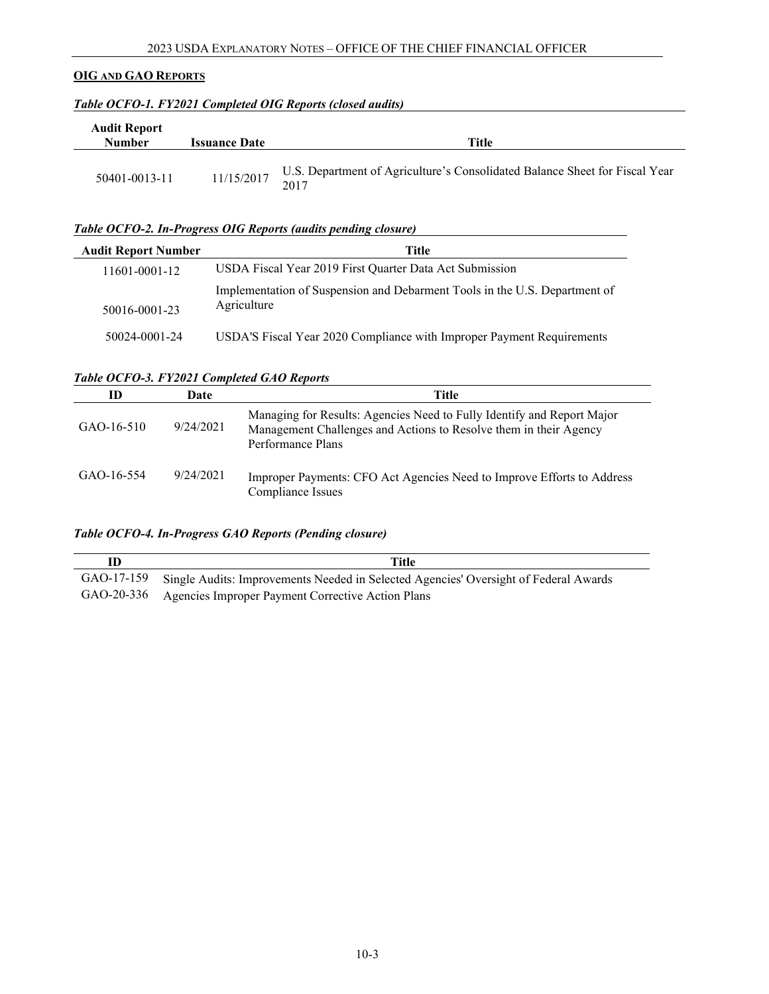# **OIG AND GAO REPORTS**

| <b>Audit Report</b><br><b>Number</b> | <b>Issuance Date</b> | Title                                                                               |
|--------------------------------------|----------------------|-------------------------------------------------------------------------------------|
| 50401-0013-11                        | 11/15/2017           | U.S. Department of Agriculture's Consolidated Balance Sheet for Fiscal Year<br>2017 |

# *Table OCFO-1. FY2021 Completed OIG Reports (closed audits)*

# *Table OCFO-2. In-Progress OIG Reports (audits pending closure)*

| <b>Audit Report Number</b> | Title                                                                                     |
|----------------------------|-------------------------------------------------------------------------------------------|
| 11601-0001-12              | USDA Fiscal Year 2019 First Quarter Data Act Submission                                   |
| 50016-0001-23              | Implementation of Suspension and Debarment Tools in the U.S. Department of<br>Agriculture |
| 50024-0001-24              | USDA'S Fiscal Year 2020 Compliance with Improper Payment Requirements                     |

# *Table OCFO-3. FY2021 Completed GAO Reports*

| ID           | Date      | Title                                                                                                                                                            |
|--------------|-----------|------------------------------------------------------------------------------------------------------------------------------------------------------------------|
| $GAO-16-510$ | 9/24/2021 | Managing for Results: Agencies Need to Fully Identify and Report Major<br>Management Challenges and Actions to Resolve them in their Agency<br>Performance Plans |
| GAO-16-554   | 9/24/2021 | Improper Payments: CFO Act Agencies Need to Improve Efforts to Address<br>Compliance Issues                                                                      |

# *Table OCFO-4. In-Progress GAO Reports (Pending closure)*

| Title                                                                                           |
|-------------------------------------------------------------------------------------------------|
| GAO-17-159 Single Audits: Improvements Needed in Selected Agencies' Oversight of Federal Awards |
| GAO-20-336 Agencies Improper Payment Corrective Action Plans                                    |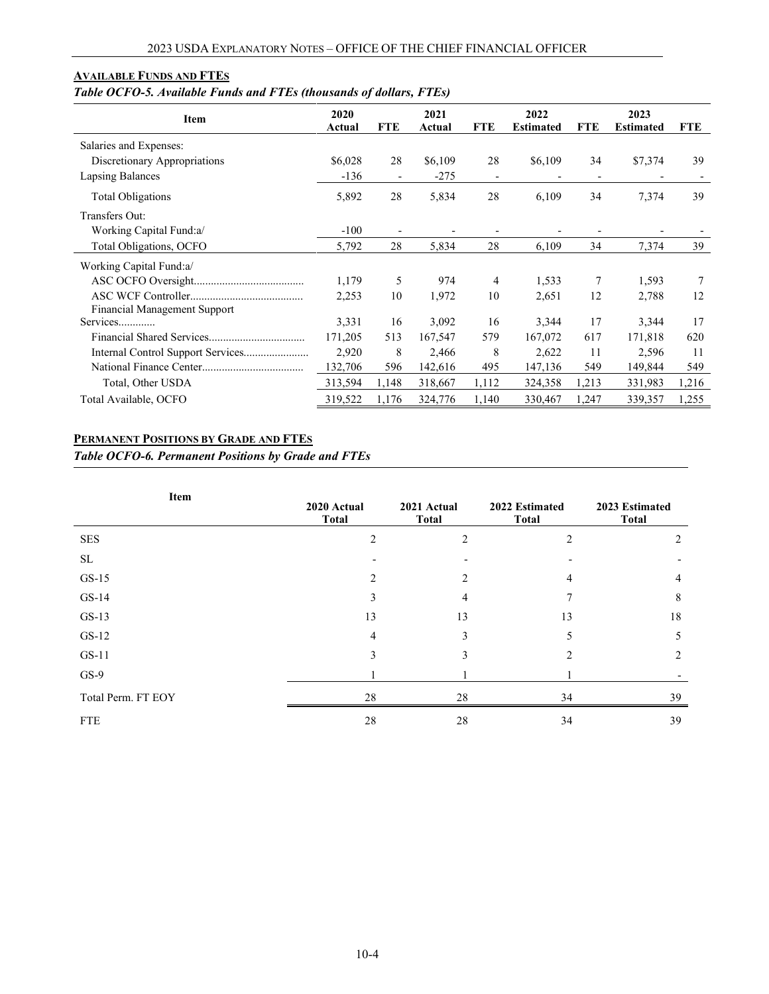# <span id="page-3-0"></span>**AVAILABLE FUNDS AND FTES**

# *Table OCFO-5. Available Funds and FTEs (thousands of dollars, FTEs)*

| Item                         | 2020<br>Actual | <b>FTE</b>               | 2021<br>Actual | <b>FTE</b>               | 2022<br><b>Estimated</b> | FTE                      | 2023<br><b>Estimated</b> | <b>FTE</b>               |
|------------------------------|----------------|--------------------------|----------------|--------------------------|--------------------------|--------------------------|--------------------------|--------------------------|
| Salaries and Expenses:       |                |                          |                |                          |                          |                          |                          |                          |
| Discretionary Appropriations | \$6,028        | 28                       | \$6,109        | 28                       | \$6,109                  | 34                       | \$7,374                  | 39                       |
| Lapsing Balances             | $-136$         | $\overline{\phantom{a}}$ | $-275$         | $\overline{\phantom{a}}$ |                          | $\overline{\phantom{a}}$ |                          | $\overline{\phantom{a}}$ |
| <b>Total Obligations</b>     | 5,892          | 28                       | 5,834          | 28                       | 6,109                    | 34                       | 7,374                    | 39                       |
| Transfers Out:               |                |                          |                |                          |                          |                          |                          |                          |
| Working Capital Fund:a/      | $-100$         |                          |                |                          |                          |                          |                          |                          |
| Total Obligations, OCFO      | 5,792          | 28                       | 5,834          | 28                       | 6,109                    | 34                       | 7,374                    | 39                       |
| Working Capital Fund:a/      |                |                          |                |                          |                          |                          |                          |                          |
|                              | 1,179          | 5                        | 974            | 4                        | 1,533                    | 7                        | 1,593                    | 7                        |
|                              | 2,253          | 10                       | 1,972          | 10                       | 2,651                    | 12                       | 2,788                    | 12                       |
| Financial Management Support |                |                          |                |                          |                          |                          |                          |                          |
| Services                     | 3,331          | 16                       | 3,092          | 16                       | 3,344                    | 17                       | 3,344                    | 17                       |
|                              | 171,205        | 513                      | 167,547        | 579                      | 167,072                  | 617                      | 171,818                  | 620                      |
|                              | 2,920          | 8                        | 2,466          | 8                        | 2,622                    | 11                       | 2,596                    | 11                       |
|                              | 132,706        | 596                      | 142,616        | 495                      | 147,136                  | 549                      | 149,844                  | 549                      |
| Total, Other USDA            | 313,594        | 1,148                    | 318,667        | 1,112                    | 324,358                  | 1,213                    | 331,983                  | 1,216                    |
| Total Available, OCFO        | 319,522        | 1,176                    | 324,776        | 1,140                    | 330,467                  | 1,247                    | 339,357                  | 1,255                    |

# <span id="page-3-1"></span>**PERMANENT POSITIONS BY GRADE AND FTES**

*Table OCFO-6. Permanent Positions by Grade and FTEs*

| Item               | 2020 Actual<br><b>Total</b> | 2021 Actual<br><b>Total</b> | 2022 Estimated<br><b>Total</b> | 2023 Estimated<br><b>Total</b> |  |
|--------------------|-----------------------------|-----------------------------|--------------------------------|--------------------------------|--|
| <b>SES</b>         | $\overline{2}$              | $\overline{2}$              | $\overline{2}$                 | 2                              |  |
| SL                 |                             |                             |                                |                                |  |
| $GS-15$            | $\overline{c}$              |                             | 4                              | 4                              |  |
| $GS-14$            | 3                           | 4                           | $\mathcal{I}$                  | 8                              |  |
| $GS-13$            | 13                          | 13                          | 13                             | 18                             |  |
| $GS-12$            | 4                           | 3                           | 5                              | 5                              |  |
| $GS-11$            | 3                           | 3                           | 2                              | 2                              |  |
| $GS-9$             |                             |                             |                                |                                |  |
| Total Perm. FT EOY | 28                          | 28                          | 34                             | 39                             |  |
| <b>FTE</b>         | 28                          | 28                          | 34                             | 39                             |  |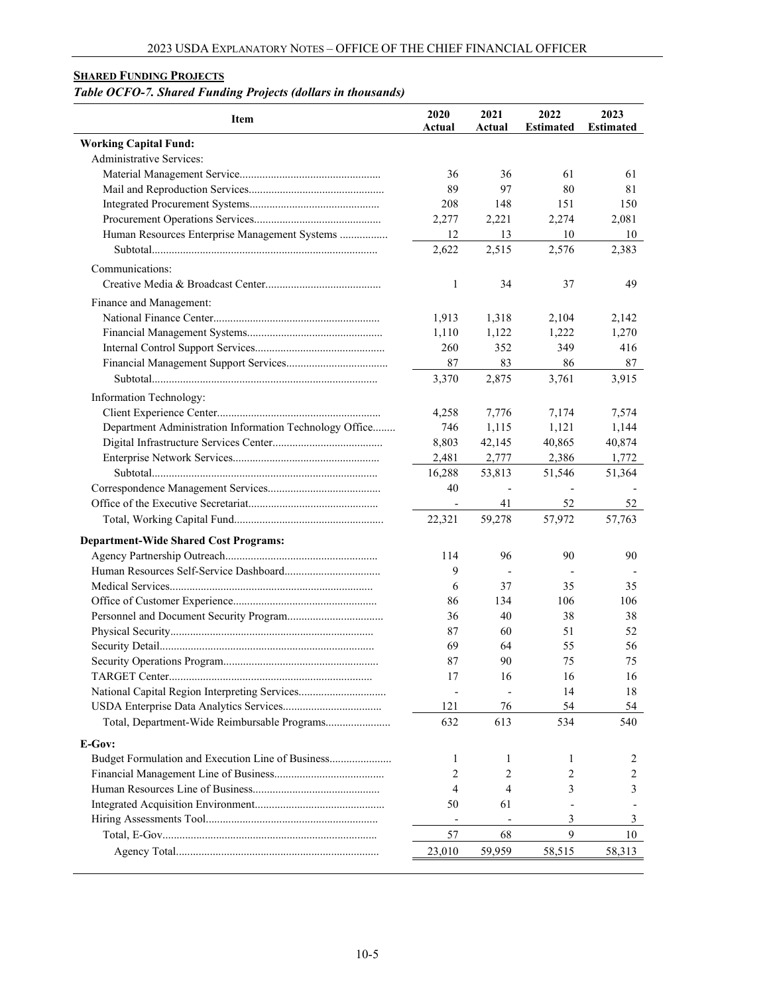# <span id="page-4-0"></span>**SHARED FUNDING PROJECTS**

# *Table OCFO-7. Shared Funding Projects (dollars in thousands)*

| <b>Item</b>                                             | 2020<br>Actual               | 2021<br>Actual | 2022<br><b>Estimated</b> | 2023<br><b>Estimated</b> |
|---------------------------------------------------------|------------------------------|----------------|--------------------------|--------------------------|
| <b>Working Capital Fund:</b>                            |                              |                |                          |                          |
| Administrative Services:                                |                              |                |                          |                          |
|                                                         | 36                           | 36             | 61                       | 61                       |
|                                                         | 89                           | 97             | 80                       | 81                       |
|                                                         | 208                          | 148            | 151                      | 150                      |
|                                                         | 2,277                        | 2,221          | 2,274                    | 2,081                    |
| Human Resources Enterprise Management Systems           | 12                           | 13             | 10                       | 10                       |
|                                                         | 2,622                        | 2,515          | 2,576                    | 2,383                    |
| Communications:                                         |                              |                |                          |                          |
|                                                         | 1                            | 34             | 37                       | 49                       |
| Finance and Management:                                 |                              |                |                          |                          |
|                                                         | 1,913                        | 1,318          | 2,104                    | 2,142                    |
|                                                         | 1,110                        | 1,122          | 1,222                    | 1,270                    |
|                                                         | 260                          | 352            | 349                      | 416                      |
|                                                         | 87                           | 83             | 86                       | 87                       |
|                                                         | 3,370                        | 2,875          | 3,761                    | 3,915                    |
|                                                         |                              |                |                          |                          |
| Information Technology:                                 |                              |                |                          |                          |
|                                                         | 4,258                        | 7,776          | 7,174                    | 7,574                    |
| Department Administration Information Technology Office | 746                          | 1,115          | 1,121                    | 1,144                    |
|                                                         | 8,803                        | 42,145         | 40,865                   | 40,874                   |
|                                                         | 2,481                        | 2,777          | 2,386                    | 1,772                    |
|                                                         | 16,288                       | 53,813         | 51,546                   | 51,364                   |
|                                                         | 40                           |                |                          |                          |
|                                                         | $\qquad \qquad \blacksquare$ | 41             | 52                       | 52                       |
|                                                         | 22,321                       | 59,278         | 57,972                   | 57,763                   |
| <b>Department-Wide Shared Cost Programs:</b>            |                              |                |                          |                          |
|                                                         | 114                          | 96             | 90                       | 90                       |
|                                                         | 9                            |                |                          |                          |
|                                                         | 6                            | 37             | 35                       | 35                       |
|                                                         | 86                           | 134            | 106                      | 106                      |
|                                                         | 36                           | 40             | 38                       | 38                       |
|                                                         | 87                           | 60             | 51                       | 52                       |
|                                                         | 69                           | 64             | 55                       | 56                       |
|                                                         | 87                           | 90             | 75                       | 75                       |
|                                                         | 17                           | 16             | 16                       | 16                       |
| National Capital Region Interpreting Services           |                              |                | 14                       | 18                       |
|                                                         | 121                          | 76             | 54                       | 54                       |
| Total, Department-Wide Reimbursable Programs            | 632                          | 613            | 534                      | 540                      |
| E-Gov:                                                  |                              |                |                          |                          |
| Budget Formulation and Execution Line of Business       | 1                            | 1              | 1                        | 2                        |
|                                                         | 2                            | 2              | 2                        | 2                        |
|                                                         | 4                            | $\overline{4}$ | 3                        | 3                        |
|                                                         | 50                           | 61             |                          |                          |
|                                                         |                              |                | 3                        | 3                        |
|                                                         | 57                           | 68             | 9                        | 10                       |
|                                                         | 23,010                       | 59,959         | 58,515                   | 58,313                   |
|                                                         |                              |                |                          |                          |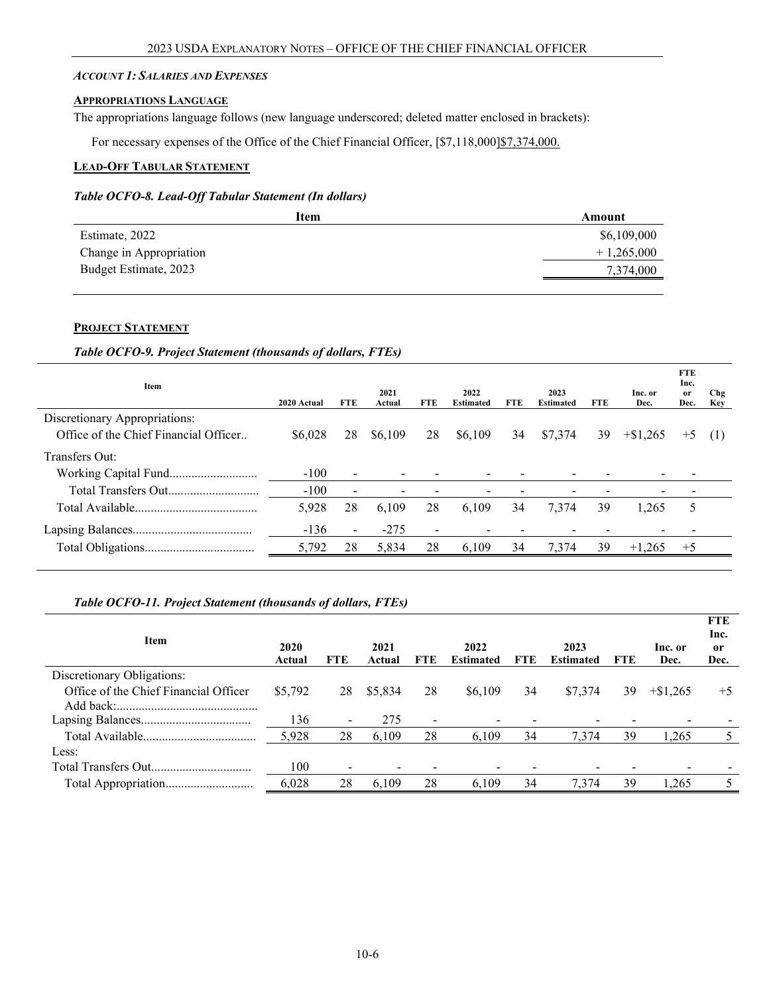#### <span id="page-5-0"></span>*ACCOUNT 1: SALARIES AND EXPENSES*

# <span id="page-5-1"></span>**APPROPRIATIONS LANGUAGE**

The appropriations language follows (new language underscored; deleted matter enclosed in brackets):

For necessary expenses of the Office of the Chief Financial Officer, [\$7,118,000]\$7,374,000.

# <span id="page-5-2"></span>**LEAD-OFF TABULAR STATEMENT**

#### *Table OCFO-8. Lead-Off Tabular Statement (In dollars)*

|                         | Item<br>Amount |
|-------------------------|----------------|
| Estimate, 2022          | \$6,109,000    |
| Change in Appropriation | $+1,265,000$   |
| Budget Estimate, 2023   | 7,374,000      |
|                         |                |

#### **PROJECT STATEMENT**

# *Table OCFO-9. Project Statement (thousands of dollars, FTEs)*

| Item                                                                   | 2020 Actual | <b>FTE</b>               | 2021<br>Actual | FTE                      | 2022<br><b>Estimated</b> | FTE | 2023<br><b>Estimated</b> | FTE | Inc. or<br>Dec. | <b>FTE</b><br>Inc.<br><sub>or</sub><br>Dec. | Chg<br>Key |
|------------------------------------------------------------------------|-------------|--------------------------|----------------|--------------------------|--------------------------|-----|--------------------------|-----|-----------------|---------------------------------------------|------------|
| Discretionary Appropriations:<br>Office of the Chief Financial Officer | \$6,028     | 28                       | \$6,109        | 28                       | \$6,109                  | 34  | \$7,374                  | 39  | $+\$1.265$      | $+5$                                        |            |
| Transfers Out:                                                         |             |                          |                |                          |                          |     |                          |     |                 |                                             | (1)        |
|                                                                        | $-100$      | $\blacksquare$           |                |                          | $\blacksquare$           |     |                          |     |                 |                                             |            |
|                                                                        | $-100$      | $\overline{\phantom{a}}$ |                |                          |                          |     |                          |     |                 |                                             |            |
|                                                                        | 5,928       | 28                       | 6.109          | 28                       | 6.109                    | 34  | 7,374                    | 39  | 1.265           | 5                                           |            |
|                                                                        | $-136$      | $\sim$                   | $-275$         | $\overline{\phantom{a}}$ | $\,$                     |     |                          |     |                 |                                             |            |
|                                                                        | 5,792       | 28                       | 5,834          | 28                       | 6.109                    | 34  | 7,374                    | 39  | $+1.265$        | $+5$                                        |            |

#### *Table OCFO-11. Project Statement (thousands of dollars, FTEs)*

| Item                                  |         |                          |         |                |                  |            |                  |            |            | <b>FTE</b><br>Inc. |
|---------------------------------------|---------|--------------------------|---------|----------------|------------------|------------|------------------|------------|------------|--------------------|
|                                       | 2020    |                          | 2021    |                | 2022             |            | 2023             |            | Inc. or    | 0r                 |
|                                       | Actual  | <b>FTE</b>               | Actual  | FTE            | <b>Estimated</b> | <b>FTE</b> | <b>Estimated</b> | <b>FTE</b> | Dec.       | Dec.               |
| Discretionary Obligations:            |         |                          |         |                |                  |            |                  |            |            |                    |
| Office of the Chief Financial Officer | \$5,792 | 28                       | \$5,834 | 28             | \$6,109          | 34         | \$7,374          | 39         | $+\$1,265$ | $+5$               |
|                                       |         |                          |         |                |                  |            |                  |            |            |                    |
|                                       | 136     | $\overline{\phantom{0}}$ | 275     | $\blacksquare$ |                  |            |                  |            |            |                    |
|                                       | 5,928   | 28                       | 6.109   | 28             | 6,109            | 34         | 7.374            | 39         | 1.265      |                    |
| Less:                                 |         |                          |         |                |                  |            |                  |            |            |                    |
|                                       | 100     | $\overline{\phantom{0}}$ |         |                |                  |            |                  |            |            |                    |
|                                       | 6,028   | 28                       | 6.109   | 28             | 6.109            | 34         | 7,374            | 39         | 1,265      |                    |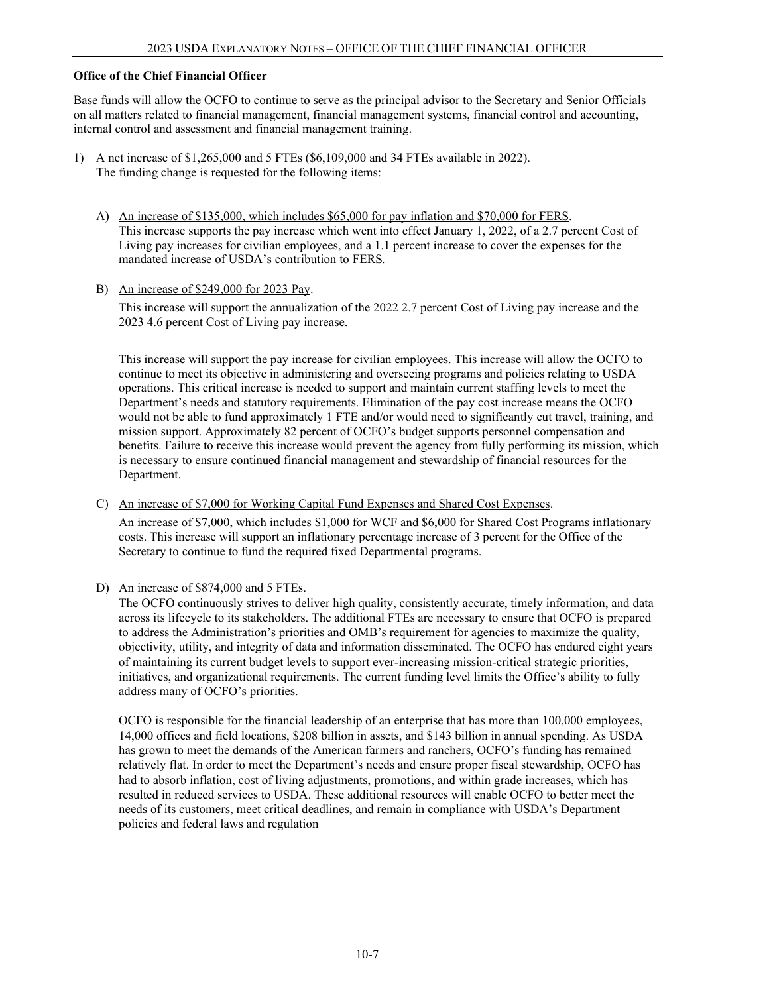#### **Office of the Chief Financial Officer**

Base funds will allow the OCFO to continue to serve as the principal advisor to the Secretary and Senior Officials on all matters related to financial management, financial management systems, financial control and accounting, internal control and assessment and financial management training.

- 1) A net increase of \$1,265,000 and 5 FTEs (\$6,109,000 and 34 FTEs available in 2022). The funding change is requested for the following items:
	- A) An increase of \$135,000, which includes \$65,000 for pay inflation and \$70,000 for FERS. This increase supports the pay increase which went into effect January 1, 2022, of a 2.7 percent Cost of Living pay increases for civilian employees, and a 1.1 percent increase to cover the expenses for the mandated increase of USDA's contribution to FERS*.*
	- B) An increase of \$249,000 for 2023 Pay.

This increase will support the annualization of the 2022 2.7 percent Cost of Living pay increase and the 2023 4.6 percent Cost of Living pay increase.

This increase will support the pay increase for civilian employees. This increase will allow the OCFO to continue to meet its objective in administering and overseeing programs and policies relating to USDA operations. This critical increase is needed to support and maintain current staffing levels to meet the Department's needs and statutory requirements. Elimination of the pay cost increase means the OCFO would not be able to fund approximately 1 FTE and/or would need to significantly cut travel, training, and mission support. Approximately 82 percent of OCFO's budget supports personnel compensation and benefits. Failure to receive this increase would prevent the agency from fully performing its mission, which is necessary to ensure continued financial management and stewardship of financial resources for the Department.

C) An increase of \$7,000 for Working Capital Fund Expenses and Shared Cost Expenses.

An increase of \$7,000, which includes \$1,000 for WCF and \$6,000 for Shared Cost Programs inflationary costs. This increase will support an inflationary percentage increase of 3 percent for the Office of the Secretary to continue to fund the required fixed Departmental programs.

#### D) An increase of \$874,000 and 5 FTEs.

The OCFO continuously strives to deliver high quality, consistently accurate, timely information, and data across its lifecycle to its stakeholders. The additional FTEs are necessary to ensure that OCFO is prepared to address the Administration's priorities and OMB's requirement for agencies to maximize the quality, objectivity, utility, and integrity of data and information disseminated. The OCFO has endured eight years of maintaining its current budget levels to support ever-increasing mission-critical strategic priorities, initiatives, and organizational requirements. The current funding level limits the Office's ability to fully address many of OCFO's priorities.

OCFO is responsible for the financial leadership of an enterprise that has more than 100,000 employees, 14,000 offices and field locations, \$208 billion in assets, and \$143 billion in annual spending. As USDA has grown to meet the demands of the American farmers and ranchers, OCFO's funding has remained relatively flat. In order to meet the Department's needs and ensure proper fiscal stewardship, OCFO has had to absorb inflation, cost of living adjustments, promotions, and within grade increases, which has resulted in reduced services to USDA. These additional resources will enable OCFO to better meet the needs of its customers, meet critical deadlines, and remain in compliance with USDA's Department policies and federal laws and regulation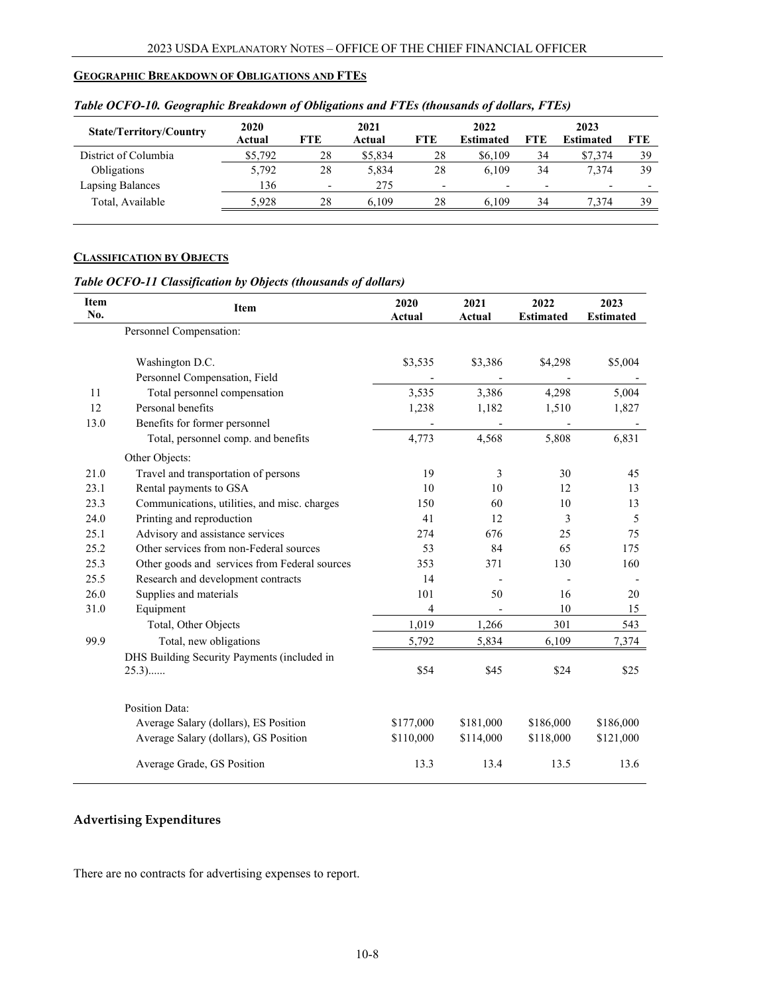#### <span id="page-7-0"></span>**GEOGRAPHIC BREAKDOWN OF OBLIGATIONS AND FTES**

| <b>State/Territory/Country</b> | 2020<br>Actual | FTE                      | 2021<br>Actual | <b>FTE</b>               | 2022<br><b>Estimated</b> | <b>FTE</b>               | 2023<br><b>Estimated</b> | FTE. |
|--------------------------------|----------------|--------------------------|----------------|--------------------------|--------------------------|--------------------------|--------------------------|------|
| District of Columbia           | \$5,792        | 28                       | \$5,834        | 28                       | \$6,109                  | 34                       | \$7,374                  | 39   |
| Obligations                    | 5,792          | 28                       | 5.834          | 28                       | 6.109                    | 34                       | 7.374                    | 39   |
| Lapsing Balances               | 136            | $\overline{\phantom{a}}$ | 275            | $\overline{\phantom{0}}$ | $\overline{\phantom{0}}$ | $\overline{\phantom{0}}$ | $\overline{\phantom{0}}$ |      |
| Total, Available               | 5.928          | 28                       | 6.109          | 28                       | 6.109                    | 34                       | 7.374                    | 39   |

#### *Table OCFO-10. Geographic Breakdown of Obligations and FTEs (thousands of dollars, FTEs)*

# **CLASSIFICATION BY OBJECTS**

# *Table OCFO-11 Classification by Objects (thousands of dollars)*

| Item<br>No. | Item                                                   | 2020<br>Actual | 2021<br>Actual | 2022<br><b>Estimated</b> | 2023<br><b>Estimated</b> |
|-------------|--------------------------------------------------------|----------------|----------------|--------------------------|--------------------------|
|             | Personnel Compensation:                                |                |                |                          |                          |
|             | Washington D.C.                                        | \$3,535        | \$3,386        | \$4,298                  | \$5,004                  |
|             | Personnel Compensation, Field                          |                |                |                          |                          |
| 11          | Total personnel compensation                           | 3,535          | 3,386          | 4,298                    | 5,004                    |
| 12          | Personal benefits                                      | 1,238          | 1,182          | 1,510                    | 1,827                    |
| 13.0        | Benefits for former personnel                          |                |                |                          |                          |
|             | Total, personnel comp. and benefits                    | 4,773          | 4,568          | 5,808                    | 6,831                    |
|             | Other Objects:                                         |                |                |                          |                          |
| 21.0        | Travel and transportation of persons                   | 19             | 3              | 30                       | 45                       |
| 23.1        | Rental payments to GSA                                 | 10             | 10             | 12                       | 13                       |
| 23.3        | Communications, utilities, and misc. charges           | 150            | 60             | 10                       | 13                       |
| 24.0        | Printing and reproduction                              | 41             | 12             | 3                        | 5                        |
| 25.1        | Advisory and assistance services                       | 274            | 676            | 25                       | 75                       |
| 25.2        | Other services from non-Federal sources                | 53             | 84             | 65                       | 175                      |
| 25.3        | Other goods and services from Federal sources          | 353            | 371            | 130                      | 160                      |
| 25.5        | Research and development contracts                     | 14             |                |                          |                          |
| 26.0        | Supplies and materials                                 | 101            | 50             | 16                       | 20                       |
| 31.0        | Equipment                                              | 4              |                | 10                       | 15                       |
|             | Total, Other Objects                                   | 1,019          | 1,266          | 301                      | 543                      |
| 99.9        | Total, new obligations                                 | 5,792          | 5,834          | 6,109                    | 7,374                    |
|             | DHS Building Security Payments (included in<br>$25.3)$ | \$54           | \$45           | \$24                     | \$25                     |
|             | <b>Position Data:</b>                                  |                |                |                          |                          |
|             | Average Salary (dollars), ES Position                  | \$177,000      | \$181,000      | \$186,000                | \$186,000                |
|             | Average Salary (dollars), GS Position                  | \$110,000      | \$114,000      | \$118,000                | \$121,000                |
|             |                                                        |                |                |                          |                          |
|             | Average Grade, GS Position                             | 13.3           | 13.4           | 13.5                     | 13.6                     |

# **Advertising Expenditures**

There are no contracts for advertising expenses to report.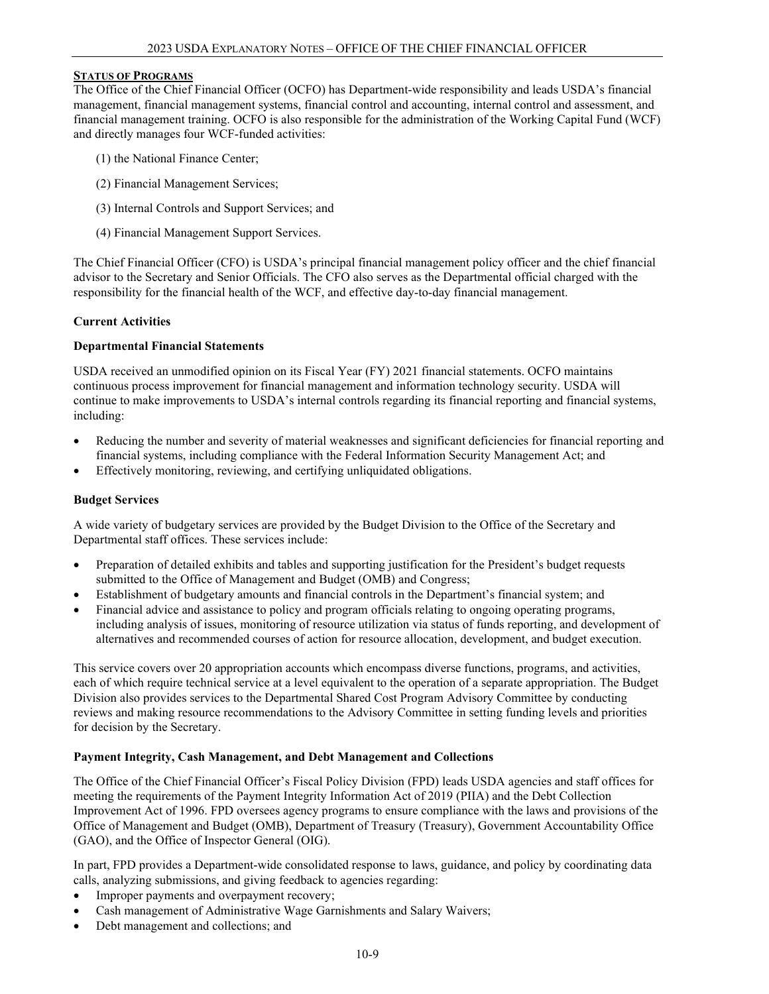#### <span id="page-8-0"></span>**STATUS OF PROGRAMS**

The Office of the Chief Financial Officer (OCFO) has Department-wide responsibility and leads USDA's financial management, financial management systems, financial control and accounting, internal control and assessment, and financial management training. OCFO is also responsible for the administration of the Working Capital Fund (WCF) and directly manages four WCF-funded activities:

- (1) the National Finance Center;
- (2) Financial Management Services;
- (3) Internal Controls and Support Services; and
- (4) Financial Management Support Services.

The Chief Financial Officer (CFO) is USDA's principal financial management policy officer and the chief financial advisor to the Secretary and Senior Officials. The CFO also serves as the Departmental official charged with the responsibility for the financial health of the WCF, and effective day-to-day financial management.

#### **Current Activities**

#### **Departmental Financial Statements**

USDA received an unmodified opinion on its Fiscal Year (FY) 2021 financial statements. OCFO maintains continuous process improvement for financial management and information technology security. USDA will continue to make improvements to USDA's internal controls regarding its financial reporting and financial systems, including:

- Reducing the number and severity of material weaknesses and significant deficiencies for financial reporting and financial systems, including compliance with the Federal Information Security Management Act; and
- Effectively monitoring, reviewing, and certifying unliquidated obligations.

#### **Budget Services**

A wide variety of budgetary services are provided by the Budget Division to the Office of the Secretary and Departmental staff offices. These services include:

- Preparation of detailed exhibits and tables and supporting justification for the President's budget requests submitted to the Office of Management and Budget (OMB) and Congress;
- Establishment of budgetary amounts and financial controls in the Department's financial system; and
- Financial advice and assistance to policy and program officials relating to ongoing operating programs, including analysis of issues, monitoring of resource utilization via status of funds reporting, and development of alternatives and recommended courses of action for resource allocation, development, and budget execution.

This service covers over 20 appropriation accounts which encompass diverse functions, programs, and activities, each of which require technical service at a level equivalent to the operation of a separate appropriation. The Budget Division also provides services to the Departmental Shared Cost Program Advisory Committee by conducting reviews and making resource recommendations to the Advisory Committee in setting funding levels and priorities for decision by the Secretary.

#### **Payment Integrity, Cash Management, and Debt Management and Collections**

The Office of the Chief Financial Officer's Fiscal Policy Division (FPD) leads USDA agencies and staff offices for meeting the requirements of the Payment Integrity Information Act of 2019 (PIIA) and the Debt Collection Improvement Act of 1996. FPD oversees agency programs to ensure compliance with the laws and provisions of the Office of Management and Budget (OMB), Department of Treasury (Treasury), Government Accountability Office (GAO), and the Office of Inspector General (OIG).

In part, FPD provides a Department-wide consolidated response to laws, guidance, and policy by coordinating data calls, analyzing submissions, and giving feedback to agencies regarding:

- Improper payments and overpayment recovery;
- Cash management of Administrative Wage Garnishments and Salary Waivers;
- Debt management and collections; and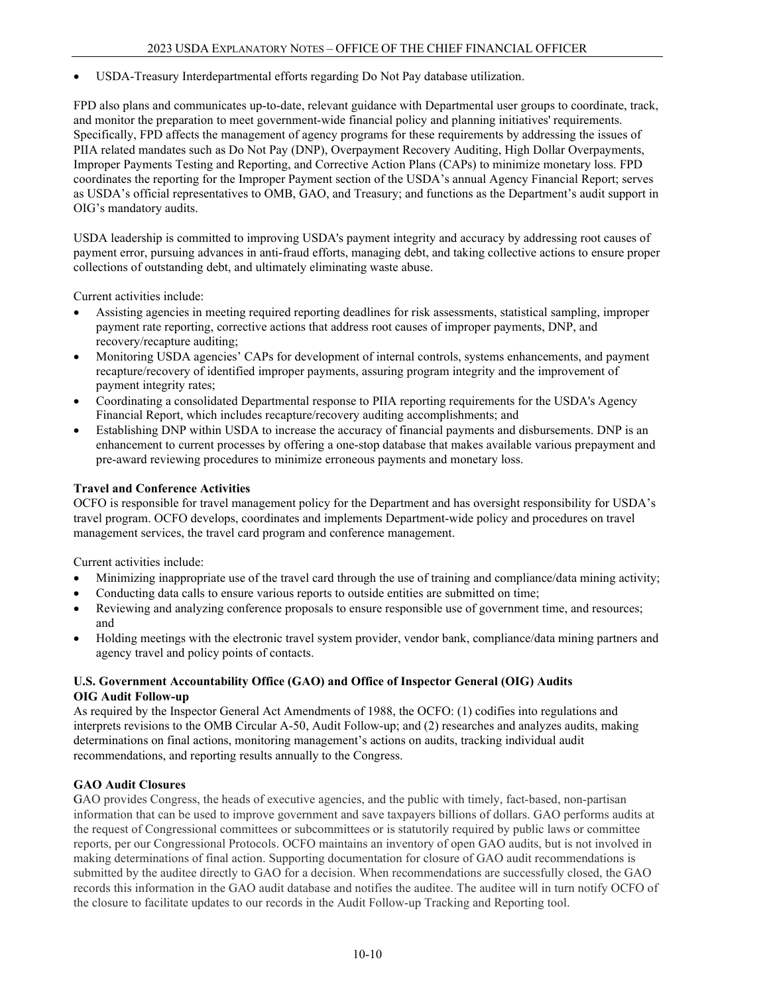• USDA-Treasury Interdepartmental efforts regarding Do Not Pay database utilization.

FPD also plans and communicates up-to-date, relevant guidance with Departmental user groups to coordinate, track, and monitor the preparation to meet government-wide financial policy and planning initiatives' requirements. Specifically, FPD affects the management of agency programs for these requirements by addressing the issues of PIIA related mandates such as Do Not Pay (DNP), Overpayment Recovery Auditing, High Dollar Overpayments, Improper Payments Testing and Reporting, and Corrective Action Plans (CAPs) to minimize monetary loss. FPD coordinates the reporting for the Improper Payment section of the USDA's annual Agency Financial Report; serves as USDA's official representatives to OMB, GAO, and Treasury; and functions as the Department's audit support in OIG's mandatory audits.

USDA leadership is committed to improving USDA's payment integrity and accuracy by addressing root causes of payment error, pursuing advances in anti-fraud efforts, managing debt, and taking collective actions to ensure proper collections of outstanding debt, and ultimately eliminating waste abuse.

Current activities include:

- Assisting agencies in meeting required reporting deadlines for risk assessments, statistical sampling, improper payment rate reporting, corrective actions that address root causes of improper payments, DNP, and recovery/recapture auditing;
- Monitoring USDA agencies' CAPs for development of internal controls, systems enhancements, and payment recapture/recovery of identified improper payments, assuring program integrity and the improvement of payment integrity rates;
- Coordinating a consolidated Departmental response to PIIA reporting requirements for the USDA's Agency Financial Report, which includes recapture/recovery auditing accomplishments; and
- Establishing DNP within USDA to increase the accuracy of financial payments and disbursements. DNP is an enhancement to current processes by offering a one-stop database that makes available various prepayment and pre-award reviewing procedures to minimize erroneous payments and monetary loss.

# **Travel and Conference Activities**

OCFO is responsible for travel management policy for the Department and has oversight responsibility for USDA's travel program. OCFO develops, coordinates and implements Department-wide policy and procedures on travel management services, the travel card program and conference management.

Current activities include:

- Minimizing inappropriate use of the travel card through the use of training and compliance/data mining activity;
- Conducting data calls to ensure various reports to outside entities are submitted on time;
- Reviewing and analyzing conference proposals to ensure responsible use of government time, and resources; and
- Holding meetings with the electronic travel system provider, vendor bank, compliance/data mining partners and agency travel and policy points of contacts.

#### **U.S. Government Accountability Office (GAO) and Office of Inspector General (OIG) Audits OIG Audit Follow-up**

As required by the Inspector General Act Amendments of 1988, the OCFO: (1) codifies into regulations and interprets revisions to the OMB Circular A-50, Audit Follow-up; and (2) researches and analyzes audits, making determinations on final actions, monitoring management's actions on audits, tracking individual audit recommendations, and reporting results annually to the Congress.

#### **GAO Audit Closures**

GAO provides Congress, the heads of executive agencies, and the public with timely, fact-based, non-partisan information that can be used to improve government and save taxpayers billions of dollars. GAO performs audits at the request of Congressional committees or subcommittees or is statutorily required by public laws or committee reports, per our Congressional Protocols. OCFO maintains an inventory of open GAO audits, but is not involved in making determinations of final action. Supporting documentation for closure of GAO audit recommendations is submitted by the auditee directly to GAO for a decision. When recommendations are successfully closed, the GAO records this information in the GAO audit database and notifies the auditee. The auditee will in turn notify OCFO of the closure to facilitate updates to our records in the Audit Follow-up Tracking and Reporting tool.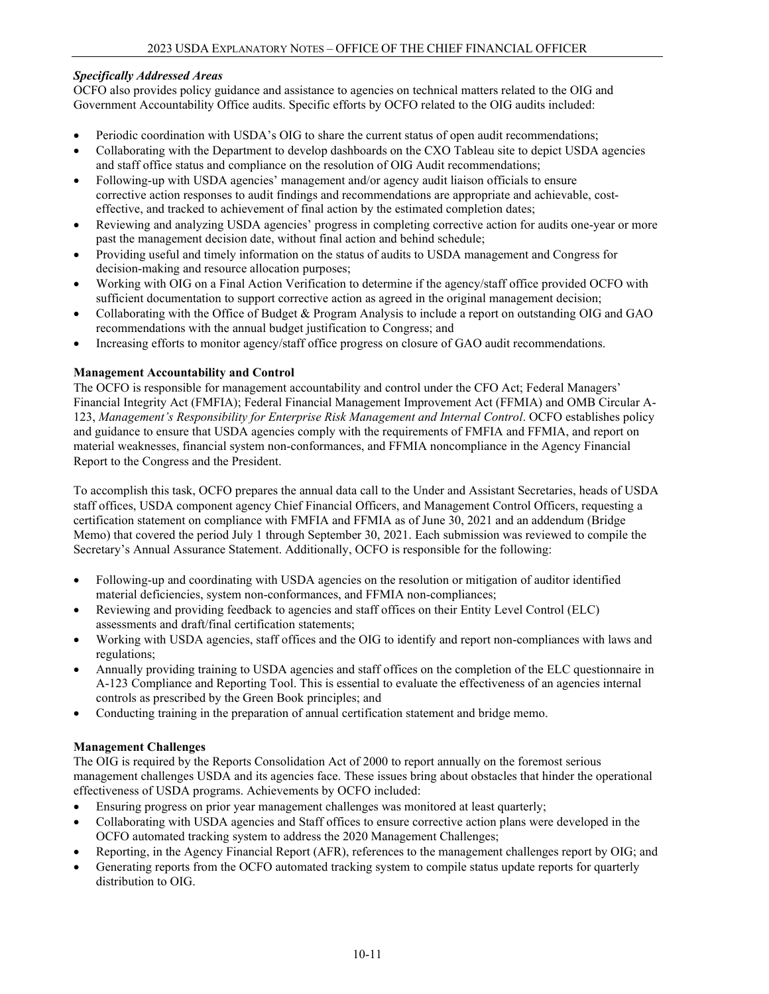# *Specifically Addressed Areas*

OCFO also provides policy guidance and assistance to agencies on technical matters related to the OIG and Government Accountability Office audits. Specific efforts by OCFO related to the OIG audits included:

- Periodic coordination with USDA's OIG to share the current status of open audit recommendations;
- Collaborating with the Department to develop dashboards on the CXO Tableau site to depict USDA agencies and staff office status and compliance on the resolution of OIG Audit recommendations;
- Following-up with USDA agencies' management and/or agency audit liaison officials to ensure corrective action responses to audit findings and recommendations are appropriate and achievable, costeffective, and tracked to achievement of final action by the estimated completion dates;
- Reviewing and analyzing USDA agencies' progress in completing corrective action for audits one-year or more past the management decision date, without final action and behind schedule;
- Providing useful and timely information on the status of audits to USDA management and Congress for decision-making and resource allocation purposes;
- Working with OIG on a Final Action Verification to determine if the agency/staff office provided OCFO with sufficient documentation to support corrective action as agreed in the original management decision;
- Collaborating with the Office of Budget & Program Analysis to include a report on outstanding OIG and GAO recommendations with the annual budget justification to Congress; and
- Increasing efforts to monitor agency/staff office progress on closure of GAO audit recommendations.

# **Management Accountability and Control**

The OCFO is responsible for management accountability and control under the CFO Act; Federal Managers' Financial Integrity Act (FMFIA); Federal Financial Management Improvement Act (FFMIA) and OMB Circular A-123, *Management's Responsibility for Enterprise Risk Management and Internal Control*. OCFO establishes policy and guidance to ensure that USDA agencies comply with the requirements of FMFIA and FFMIA, and report on material weaknesses, financial system non-conformances, and FFMIA noncompliance in the Agency Financial Report to the Congress and the President.

To accomplish this task, OCFO prepares the annual data call to the Under and Assistant Secretaries, heads of USDA staff offices, USDA component agency Chief Financial Officers, and Management Control Officers, requesting a certification statement on compliance with FMFIA and FFMIA as of June 30, 2021 and an addendum (Bridge Memo) that covered the period July 1 through September 30, 2021. Each submission was reviewed to compile the Secretary's Annual Assurance Statement. Additionally, OCFO is responsible for the following:

- Following-up and coordinating with USDA agencies on the resolution or mitigation of auditor identified material deficiencies, system non-conformances, and FFMIA non-compliances;
- Reviewing and providing feedback to agencies and staff offices on their Entity Level Control (ELC) assessments and draft/final certification statements;
- Working with USDA agencies, staff offices and the OIG to identify and report non-compliances with laws and regulations;
- Annually providing training to USDA agencies and staff offices on the completion of the ELC questionnaire in A-123 Compliance and Reporting Tool. This is essential to evaluate the effectiveness of an agencies internal controls as prescribed by the Green Book principles; and
- Conducting training in the preparation of annual certification statement and bridge memo.

#### **Management Challenges**

The OIG is required by the Reports Consolidation Act of 2000 to report annually on the foremost serious management challenges USDA and its agencies face. These issues bring about obstacles that hinder the operational effectiveness of USDA programs. Achievements by OCFO included:

- Ensuring progress on prior year management challenges was monitored at least quarterly;
- Collaborating with USDA agencies and Staff offices to ensure corrective action plans were developed in the OCFO automated tracking system to address the 2020 Management Challenges;
- Reporting, in the Agency Financial Report (AFR), references to the management challenges report by OIG; and
- Generating reports from the OCFO automated tracking system to compile status update reports for quarterly distribution to OIG.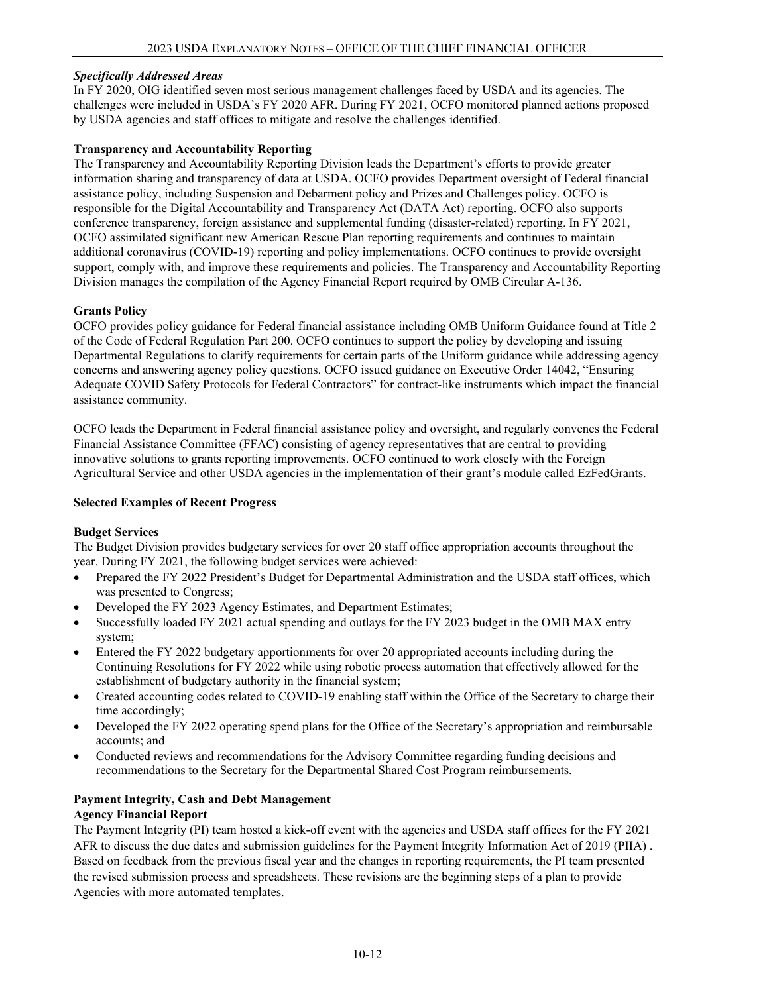## *Specifically Addressed Areas*

In FY 2020, OIG identified seven most serious management challenges faced by USDA and its agencies. The challenges were included in USDA's FY 2020 AFR. During FY 2021, OCFO monitored planned actions proposed by USDA agencies and staff offices to mitigate and resolve the challenges identified.

# **Transparency and Accountability Reporting**

The Transparency and Accountability Reporting Division leads the Department's efforts to provide greater information sharing and transparency of data at USDA. OCFO provides Department oversight of Federal financial assistance policy, including Suspension and Debarment policy and Prizes and Challenges policy. OCFO is responsible for the Digital Accountability and Transparency Act (DATA Act) reporting. OCFO also supports conference transparency, foreign assistance and supplemental funding (disaster-related) reporting. In FY 2021, OCFO assimilated significant new American Rescue Plan reporting requirements and continues to maintain additional coronavirus (COVID-19) reporting and policy implementations. OCFO continues to provide oversight support, comply with, and improve these requirements and policies. The Transparency and Accountability Reporting Division manages the compilation of the Agency Financial Report required by OMB Circular A-136.

# **Grants Policy**

OCFO provides policy guidance for Federal financial assistance including OMB Uniform Guidance found at Title 2 of the Code of Federal Regulation Part 200. OCFO continues to support the policy by developing and issuing Departmental Regulations to clarify requirements for certain parts of the Uniform guidance while addressing agency concerns and answering agency policy questions. OCFO issued guidance on Executive Order 14042, "Ensuring Adequate COVID Safety Protocols for Federal Contractors" for contract-like instruments which impact the financial assistance community.

OCFO leads the Department in Federal financial assistance policy and oversight, and regularly convenes the Federal Financial Assistance Committee (FFAC) consisting of agency representatives that are central to providing innovative solutions to grants reporting improvements. OCFO continued to work closely with the Foreign Agricultural Service and other USDA agencies in the implementation of their grant's module called EzFedGrants.

# **Selected Examples of Recent Progress**

#### **Budget Services**

The Budget Division provides budgetary services for over 20 staff office appropriation accounts throughout the year. During FY 2021, the following budget services were achieved:

- Prepared the FY 2022 President's Budget for Departmental Administration and the USDA staff offices, which was presented to Congress;
- Developed the FY 2023 Agency Estimates, and Department Estimates;
- Successfully loaded FY 2021 actual spending and outlays for the FY 2023 budget in the OMB MAX entry system;
- Entered the FY 2022 budgetary apportionments for over 20 appropriated accounts including during the Continuing Resolutions for FY 2022 while using robotic process automation that effectively allowed for the establishment of budgetary authority in the financial system;
- Created accounting codes related to COVID-19 enabling staff within the Office of the Secretary to charge their time accordingly;
- Developed the FY 2022 operating spend plans for the Office of the Secretary's appropriation and reimbursable accounts; and
- Conducted reviews and recommendations for the Advisory Committee regarding funding decisions and recommendations to the Secretary for the Departmental Shared Cost Program reimbursements.

#### **Payment Integrity, Cash and Debt Management Agency Financial Report**

The Payment Integrity (PI) team hosted a kick-off event with the agencies and USDA staff offices for the FY 2021 AFR to discuss the due dates and submission guidelines for the Payment Integrity Information Act of 2019 (PIIA) . Based on feedback from the previous fiscal year and the changes in reporting requirements, the PI team presented the revised submission process and spreadsheets. These revisions are the beginning steps of a plan to provide Agencies with more automated templates.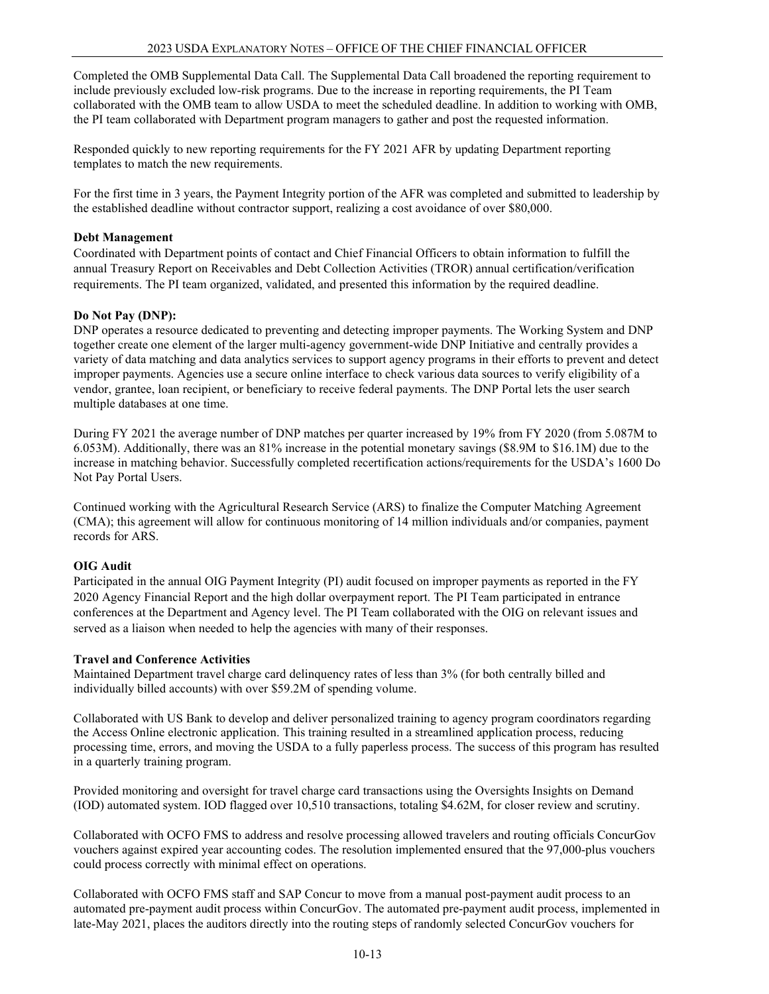Completed the OMB Supplemental Data Call. The Supplemental Data Call broadened the reporting requirement to include previously excluded low-risk programs. Due to the increase in reporting requirements, the PI Team collaborated with the OMB team to allow USDA to meet the scheduled deadline. In addition to working with OMB, the PI team collaborated with Department program managers to gather and post the requested information.

Responded quickly to new reporting requirements for the FY 2021 AFR by updating Department reporting templates to match the new requirements.

For the first time in 3 years, the Payment Integrity portion of the AFR was completed and submitted to leadership by the established deadline without contractor support, realizing a cost avoidance of over \$80,000.

#### **Debt Management**

Coordinated with Department points of contact and Chief Financial Officers to obtain information to fulfill the annual Treasury Report on Receivables and Debt Collection Activities (TROR) annual certification/verification requirements. The PI team organized, validated, and presented this information by the required deadline.

# **Do Not Pay (DNP):**

DNP operates a resource dedicated to preventing and detecting improper payments. The Working System and DNP together create one element of the larger multi-agency government-wide DNP Initiative and centrally provides a variety of data matching and data analytics services to support agency programs in their efforts to prevent and detect improper payments. Agencies use a secure online interface to check various data sources to verify eligibility of a vendor, grantee, loan recipient, or beneficiary to receive federal payments. The DNP Portal lets the user search multiple databases at one time.

During FY 2021 the average number of DNP matches per quarter increased by 19% from FY 2020 (from 5.087M to 6.053M). Additionally, there was an 81% increase in the potential monetary savings (\$8.9M to \$16.1M) due to the increase in matching behavior. Successfully completed recertification actions/requirements for the USDA's 1600 Do Not Pay Portal Users.

Continued working with the Agricultural Research Service (ARS) to finalize the Computer Matching Agreement (CMA); this agreement will allow for continuous monitoring of 14 million individuals and/or companies, payment records for ARS.

# **OIG Audit**

Participated in the annual OIG Payment Integrity (PI) audit focused on improper payments as reported in the FY 2020 Agency Financial Report and the high dollar overpayment report. The PI Team participated in entrance conferences at the Department and Agency level. The PI Team collaborated with the OIG on relevant issues and served as a liaison when needed to help the agencies with many of their responses.

#### **Travel and Conference Activities**

Maintained Department travel charge card delinquency rates of less than 3% (for both centrally billed and individually billed accounts) with over \$59.2M of spending volume.

Collaborated with US Bank to develop and deliver personalized training to agency program coordinators regarding the Access Online electronic application. This training resulted in a streamlined application process, reducing processing time, errors, and moving the USDA to a fully paperless process. The success of this program has resulted in a quarterly training program.

Provided monitoring and oversight for travel charge card transactions using the Oversights Insights on Demand (IOD) automated system. IOD flagged over 10,510 transactions, totaling \$4.62M, for closer review and scrutiny.

Collaborated with OCFO FMS to address and resolve processing allowed travelers and routing officials ConcurGov vouchers against expired year accounting codes. The resolution implemented ensured that the 97,000-plus vouchers could process correctly with minimal effect on operations.

Collaborated with OCFO FMS staff and SAP Concur to move from a manual post-payment audit process to an automated pre-payment audit process within ConcurGov. The automated pre-payment audit process, implemented in late-May 2021, places the auditors directly into the routing steps of randomly selected ConcurGov vouchers for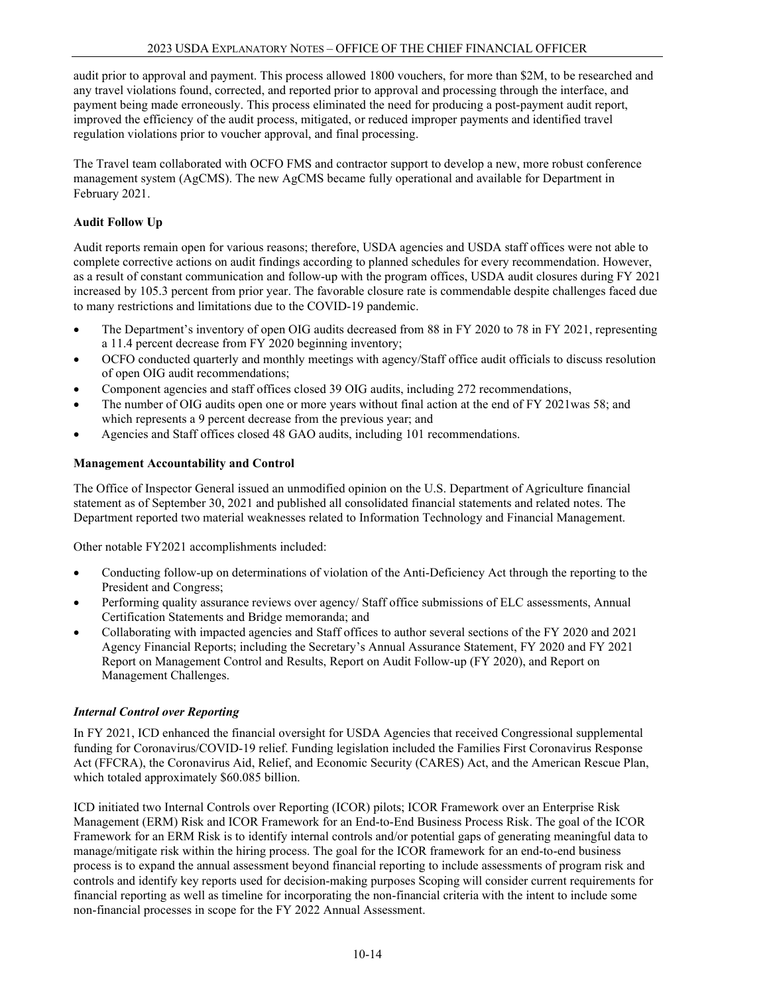audit prior to approval and payment. This process allowed 1800 vouchers, for more than \$2M, to be researched and any travel violations found, corrected, and reported prior to approval and processing through the interface, and payment being made erroneously. This process eliminated the need for producing a post-payment audit report, improved the efficiency of the audit process, mitigated, or reduced improper payments and identified travel regulation violations prior to voucher approval, and final processing.

The Travel team collaborated with OCFO FMS and contractor support to develop a new, more robust conference management system (AgCMS). The new AgCMS became fully operational and available for Department in February 2021.

# **Audit Follow Up**

Audit reports remain open for various reasons; therefore, USDA agencies and USDA staff offices were not able to complete corrective actions on audit findings according to planned schedules for every recommendation. However, as a result of constant communication and follow-up with the program offices, USDA audit closures during FY 2021 increased by 105.3 percent from prior year. The favorable closure rate is commendable despite challenges faced due to many restrictions and limitations due to the COVID-19 pandemic.

- The Department's inventory of open OIG audits decreased from 88 in FY 2020 to 78 in FY 2021, representing a 11.4 percent decrease from FY 2020 beginning inventory;
- OCFO conducted quarterly and monthly meetings with agency/Staff office audit officials to discuss resolution of open OIG audit recommendations;
- Component agencies and staff offices closed 39 OIG audits, including 272 recommendations,
- The number of OIG audits open one or more years without final action at the end of FY 2021was 58; and which represents a 9 percent decrease from the previous year; and
- Agencies and Staff offices closed 48 GAO audits, including 101 recommendations.

# **Management Accountability and Control**

The Office of Inspector General issued an unmodified opinion on the U.S. Department of Agriculture financial statement as of September 30, 2021 and published all consolidated financial statements and related notes. The Department reported two material weaknesses related to Information Technology and Financial Management.

Other notable FY2021 accomplishments included:

- Conducting follow-up on determinations of violation of the Anti-Deficiency Act through the reporting to the President and Congress;
- Performing quality assurance reviews over agency/ Staff office submissions of ELC assessments, Annual Certification Statements and Bridge memoranda; and
- Collaborating with impacted agencies and Staff offices to author several sections of the FY 2020 and 2021 Agency Financial Reports; including the Secretary's Annual Assurance Statement, FY 2020 and FY 2021 Report on Management Control and Results, Report on Audit Follow-up (FY 2020), and Report on Management Challenges.

#### *Internal Control over Reporting*

In FY 2021, ICD enhanced the financial oversight for USDA Agencies that received Congressional supplemental funding for Coronavirus/COVID-19 relief. Funding legislation included the Families First Coronavirus Response Act (FFCRA), the Coronavirus Aid, Relief, and Economic Security (CARES) Act, and the American Rescue Plan, which totaled approximately \$60.085 billion.

ICD initiated two Internal Controls over Reporting (ICOR) pilots; ICOR Framework over an Enterprise Risk Management (ERM) Risk and ICOR Framework for an End-to-End Business Process Risk. The goal of the ICOR Framework for an ERM Risk is to identify internal controls and/or potential gaps of generating meaningful data to manage/mitigate risk within the hiring process. The goal for the ICOR framework for an end-to-end business process is to expand the annual assessment beyond financial reporting to include assessments of program risk and controls and identify key reports used for decision-making purposes Scoping will consider current requirements for financial reporting as well as timeline for incorporating the non-financial criteria with the intent to include some non-financial processes in scope for the FY 2022 Annual Assessment.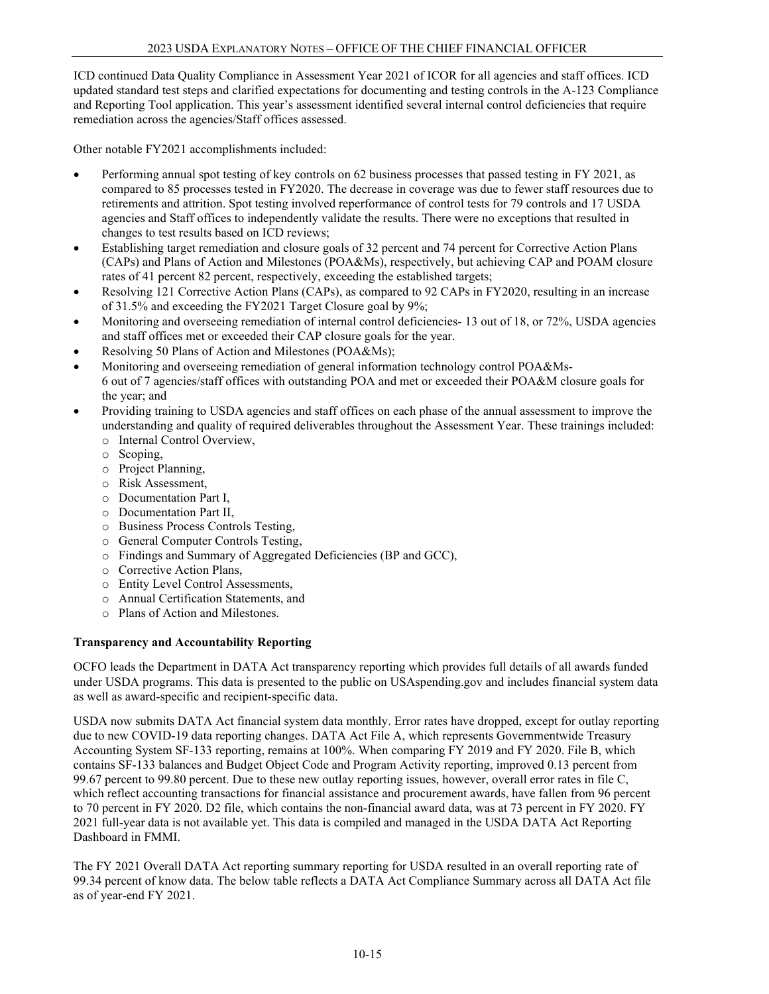ICD continued Data Quality Compliance in Assessment Year 2021 of ICOR for all agencies and staff offices. ICD updated standard test steps and clarified expectations for documenting and testing controls in the A-123 Compliance and Reporting Tool application. This year's assessment identified several internal control deficiencies that require remediation across the agencies/Staff offices assessed.

Other notable FY2021 accomplishments included:

- Performing annual spot testing of key controls on 62 business processes that passed testing in FY 2021, as compared to 85 processes tested in FY2020. The decrease in coverage was due to fewer staff resources due to retirements and attrition. Spot testing involved reperformance of control tests for 79 controls and 17 USDA agencies and Staff offices to independently validate the results. There were no exceptions that resulted in changes to test results based on ICD reviews;
- Establishing target remediation and closure goals of 32 percent and 74 percent for Corrective Action Plans (CAPs) and Plans of Action and Milestones (POA&Ms), respectively, but achieving CAP and POAM closure rates of 41 percent 82 percent, respectively, exceeding the established targets;
- Resolving 121 Corrective Action Plans (CAPs), as compared to 92 CAPs in FY2020, resulting in an increase of 31.5% and exceeding the FY2021 Target Closure goal by 9%;
- Monitoring and overseeing remediation of internal control deficiencies-13 out of 18, or 72%, USDA agencies and staff offices met or exceeded their CAP closure goals for the year.
- Resolving 50 Plans of Action and Milestones (POA&Ms);
- Monitoring and overseeing remediation of general information technology control POA&Ms-6 out of 7 agencies/staff offices with outstanding POA and met or exceeded their POA&M closure goals for the year; and
- Providing training to USDA agencies and staff offices on each phase of the annual assessment to improve the understanding and quality of required deliverables throughout the Assessment Year. These trainings included:
	- o Internal Control Overview,
	- o Scoping,
	- o Project Planning,
	- o Risk Assessment,
	- o Documentation Part I,
	- o Documentation Part II,
	- o Business Process Controls Testing,
	- o General Computer Controls Testing,
	- o Findings and Summary of Aggregated Deficiencies (BP and GCC),
	- o Corrective Action Plans,
	- o Entity Level Control Assessments,
	- o Annual Certification Statements, and
	- o Plans of Action and Milestones.

#### **Transparency and Accountability Reporting**

OCFO leads the Department in DATA Act transparency reporting which provides full details of all awards funded under USDA programs. This data is presented to the public on USAspending.gov and includes financial system data as well as award-specific and recipient-specific data.

USDA now submits DATA Act financial system data monthly. Error rates have dropped, except for outlay reporting due to new COVID-19 data reporting changes. DATA Act File A, which represents Governmentwide Treasury Accounting System SF-133 reporting, remains at 100%. When comparing FY 2019 and FY 2020. File B, which contains SF-133 balances and Budget Object Code and Program Activity reporting, improved 0.13 percent from 99.67 percent to 99.80 percent. Due to these new outlay reporting issues, however, overall error rates in file C, which reflect accounting transactions for financial assistance and procurement awards, have fallen from 96 percent to 70 percent in FY 2020. D2 file, which contains the non-financial award data, was at 73 percent in FY 2020. FY 2021 full-year data is not available yet. This data is compiled and managed in the USDA DATA Act Reporting Dashboard in FMMI.

The FY 2021 Overall DATA Act reporting summary reporting for USDA resulted in an overall reporting rate of 99.34 percent of know data. The below table reflects a DATA Act Compliance Summary across all DATA Act file as of year-end FY 2021.